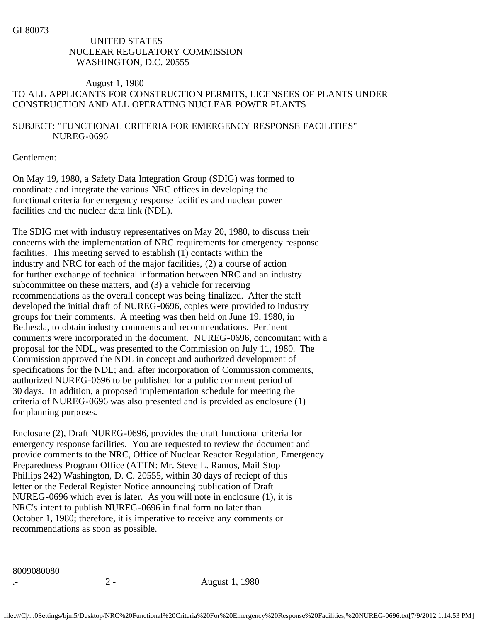GL80073

## UNITED STATES NUCLEAR REGULATORY COMMISSION WASHINGTON, D.C. 20555

## August 1, 1980 TO ALL APPLICANTS FOR CONSTRUCTION PERMITS, LICENSEES OF PLANTS UNDER CONSTRUCTION AND ALL OPERATING NUCLEAR POWER PLANTS

## SUBJECT: "FUNCTIONAL CRITERIA FOR EMERGENCY RESPONSE FACILITIES" NUREG-0696

Gentlemen:

On May 19, 1980, a Safety Data Integration Group (SDIG) was formed to coordinate and integrate the various NRC offices in developing the functional criteria for emergency response facilities and nuclear power facilities and the nuclear data link (NDL).

The SDIG met with industry representatives on May 20, 1980, to discuss their concerns with the implementation of NRC requirements for emergency response facilities. This meeting served to establish (1) contacts within the industry and NRC for each of the major facilities, (2) a course of action for further exchange of technical information between NRC and an industry subcommittee on these matters, and (3) a vehicle for receiving recommendations as the overall concept was being finalized. After the staff developed the initial draft of NUREG-0696, copies were provided to industry groups for their comments. A meeting was then held on June 19, 1980, in Bethesda, to obtain industry comments and recommendations. Pertinent comments were incorporated in the document. NUREG-0696, concomitant with a proposal for the NDL, was presented to the Commission on July 11, 1980. The Commission approved the NDL in concept and authorized development of specifications for the NDL; and, after incorporation of Commission comments, authorized NUREG-0696 to be published for a public comment period of 30 days. In addition, a proposed implementation schedule for meeting the criteria of NUREG-0696 was also presented and is provided as enclosure (1) for planning purposes.

Enclosure (2), Draft NUREG-0696, provides the draft functional criteria for emergency response facilities. You are requested to review the document and provide comments to the NRC, Office of Nuclear Reactor Regulation, Emergency Preparedness Program Office (ATTN: Mr. Steve L. Ramos, Mail Stop Phillips 242) Washington, D. C. 20555, within 30 days of reciept of this letter or the Federal Register Notice announcing publication of Draft NUREG-0696 which ever is later. As you will note in enclosure (1), it is NRC's intent to publish NUREG-0696 in final form no later than October 1, 1980; therefore, it is imperative to receive any comments or recommendations as soon as possible.

8009080080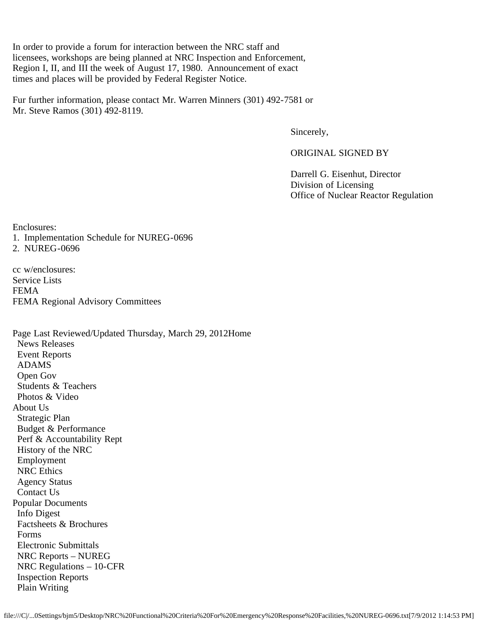In order to provide a forum for interaction between the NRC staff and licensees, workshops are being planned at NRC Inspection and Enforcement, Region I, II, and III the week of August 17, 1980. Announcement of exact times and places will be provided by Federal Register Notice.

Fur further information, please contact Mr. Warren Minners (301) 492-7581 or Mr. Steve Ramos (301) 492-8119.

Sincerely,

ORIGINAL SIGNED BY

 Darrell G. Eisenhut, Director Division of Licensing Office of Nuclear Reactor Regulation

Enclosures:

- 1. Implementation Schedule for NUREG-0696
- 2. NUREG-0696

cc w/enclosures: Service Lists FEMA FEMA Regional Advisory Committees

Page Last Reviewed/Updated Thursday, March 29, 2012Home News Releases Event Reports ADAMS Open Gov Students & Teachers Photos & Video About Us Strategic Plan Budget & Performance Perf & Accountability Rept History of the NRC Employment NRC Ethics Agency Status Contact Us Popular Documents Info Digest Factsheets & Brochures Forms Electronic Submittals NRC Reports – NUREG NRC Regulations – 10-CFR Inspection Reports Plain Writing